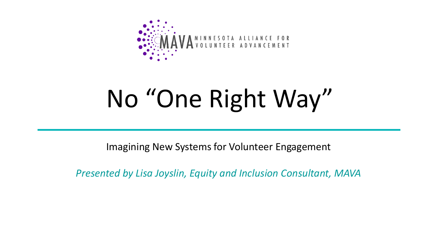

## No "One Right Way"

Imagining New Systems for Volunteer Engagement

*Presented by Lisa Joyslin, Equity and Inclusion Consultant, MAVA*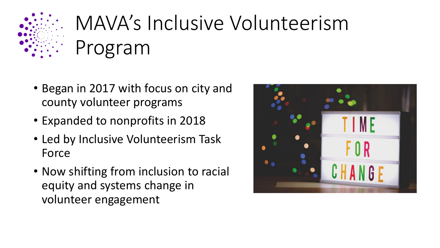

### MAVA's Inclusive Volunteerism Program

- Began in 2017 with focus on city and county volunteer programs
- Expanded to nonprofits in 2018
- Led by Inclusive Volunteerism Task Force
- Now shifting from inclusion to racial equity and systems change in volunteer engagement

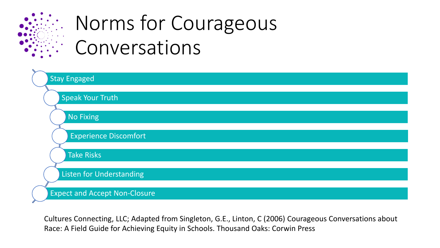

### Norms for Courageous Conversations



Cultures Connecting, LLC; Adapted from Singleton, G.E., Linton, C (2006) Courageous Conversations about Race: A Field Guide for Achieving Equity in Schools. Thousand Oaks: Corwin Press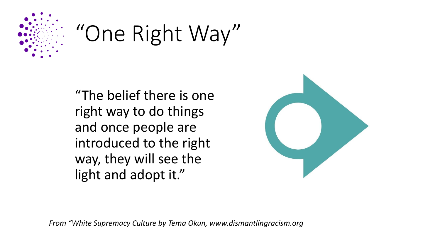

## "One Right Way"

"The belief there is one right way to do things and once people are introduced to the right way, they will see the light and adopt it."



*From "White Supremacy Culture by Tema Okun, www.dismantlingracism.org*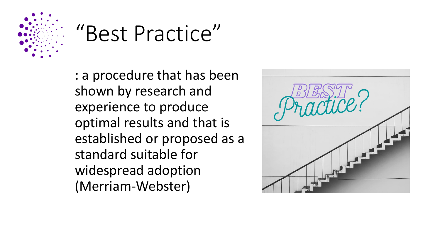

### "Best Practice"

: a procedure that has been shown by research and experience to produce optimal results and that is established or proposed as a standard suitable for widespread adoption (Merriam-Webster)

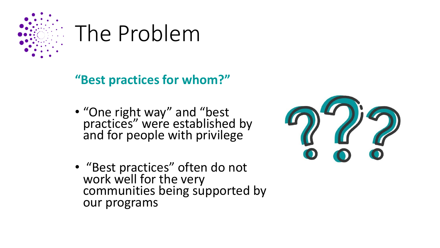

### The Problem

**"Best practices for whom?"**

- "One right way" and "best practices" were established by and for people with privilege
- "Best practices" often do not work well for the very communities being supported by our programs

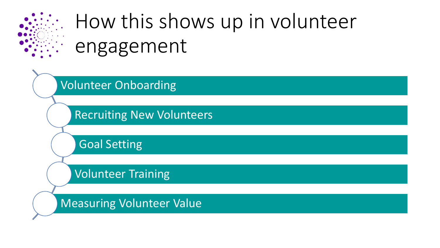

### How this shows up in volunteer engagement

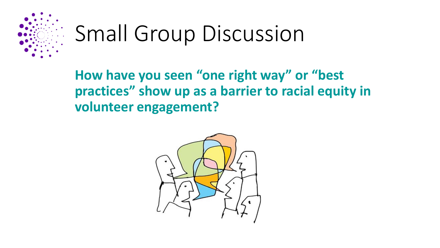

## Small Group Discussion

**How have you seen "one right way" or "best practices" show up as a barrier to racial equity in volunteer engagement?**

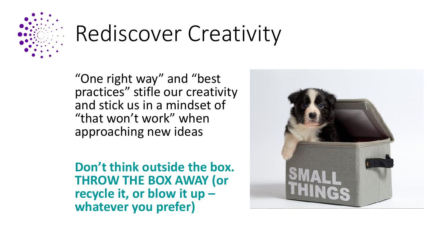

## Rediscover Creativity

"One right way" and "best practices" stifle our creativity and stick us in a mindset of "that won't work" when approaching new ideas

**Don't think outside the box. THROW THE BOX AWAY (or recycle it, or blow it up – whatever you prefer)**

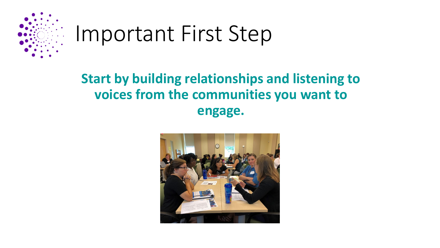

### Important First Step

#### **Start by building relationships and listening to voices from the communities you want to engage.**

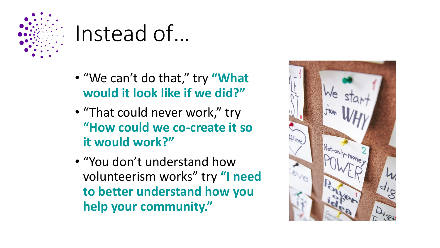

### Instead of…

- "We can't do that," try **"What would it look like if we did?"**
- "That could never work," try **"How could we co-create it so it would work?"**
- "You don't understand how volunteerism works" try **"I need to better understand how you help your community."**

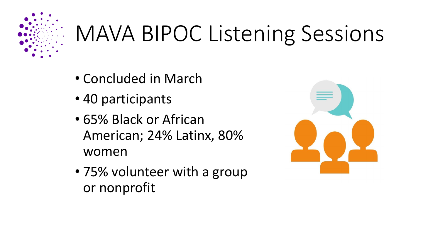

# MAVA BIPOC Listening Sessions

- Concluded in March
- 40 participants
- 65% Black or African American; 24% Latinx, 80% women
- 75% volunteer with a group or nonprofit

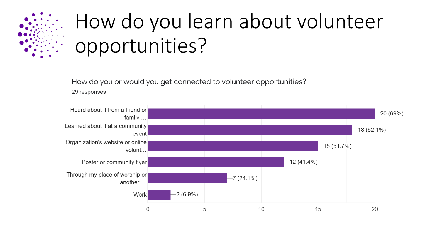

### How do you learn about volunteer opportunities?

How do you or would you get connected to volunteer opportunities?

29 responses

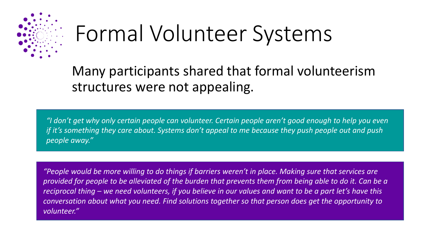

## Formal Volunteer Systems

Many participants shared that formal volunteerism structures were not appealing.

*"I don't get why only certain people can volunteer. Certain people aren't good enough to help you even if it's something they care about. Systems don't appeal to me because they push people out and push people away."*

*"People would be more willing to do things if barriers weren't in place. Making sure that services are provided for people to be alleviated of the burden that prevents them from being able to do it. Can be a reciprocal thing – we need volunteers, if you believe in our values and want to be a part let's have this conversation about what you need. Find solutions together so that person does get the opportunity to volunteer."*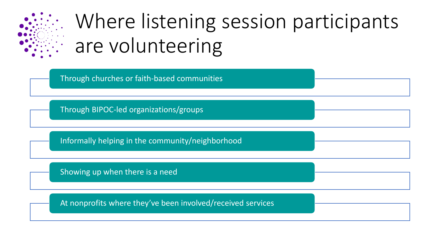

### Where listening session participants are volunteering

Through churches or faith-based communities Through BIPOC-led organizations/groups Informally helping in the community/neighborhood Showing up when there is a need At nonprofits where they've been involved/received services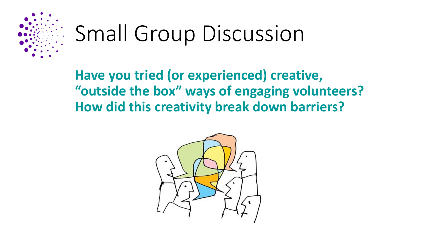

## Small Group Discussion

**Have you tried (or experienced) creative, "outside the box" ways of engaging volunteers? How did this creativity break down barriers?**

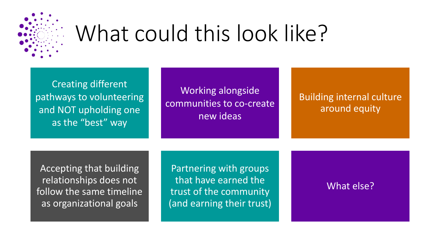

## What could this look like?

Creating different pathways to volunteering and NOT upholding one as the "best" way

Working alongside communities to co-create new ideas

Building internal culture around equity

Accepting that building relationships does not follow the same timeline as organizational goals

Partnering with groups that have earned the trust of the community (and earning their trust)

What else?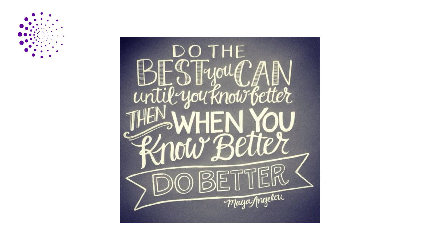